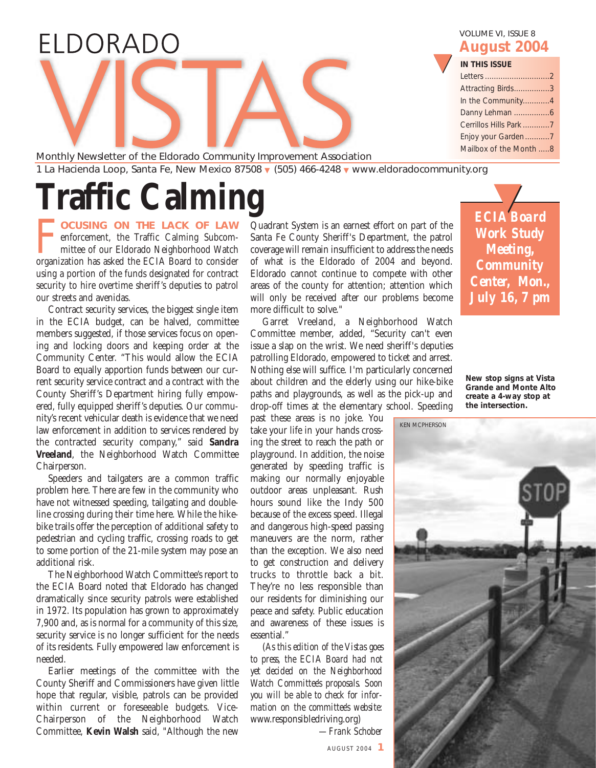### ELDORADO

VOLUME VI, ISSUE 8 **August 2004**

▼

| <b>IN THIS ISSUE</b>   |  |
|------------------------|--|
| Letters 2              |  |
| Attracting Birds3      |  |
| In the Community4      |  |
|                        |  |
| Cerrillos Hills Park 7 |  |
|                        |  |

Enjoy your Garden...........7 Mailbox of the Month .....8

Monthly Newsletter of the Eldorado Community Improvement Association 1 La Hacienda Loop, Santa Fe, New Mexico 87508 ▼ (505) 466-4248 ▼ www.eldoradocommunity.org

# **Traffic Calming**

F**OCUSING ON THE LACK OF LAW** enforcement, the Traffic Calming Subcommittee of our Eldorado Neighborhood Watch organization has asked the ECIA Board to consider using a portion of the funds designated for contract security to hire overtime sheriff's deputies to patrol our streets and avenidas.

Contract security services, the biggest single item in the ECIA budget, can be halved, committee members suggested, if those services focus on opening and locking doors and keeping order at the Community Center. "This would allow the ECIA Board to equally apportion funds between our current security service contract and a contract with the County Sheriff's Department hiring fully empowered, fully equipped sheriff's deputies. Our community's recent vehicular death is evidence that we need law enforcement in addition to services rendered by the contracted security company," said **Sandra Vreeland**, the Neighborhood Watch Committee Chairperson.

Speeders and tailgaters are a common traffic problem here. There are few in the community who have not witnessed speeding, tailgating and doubleline crossing during their time here. While the hikebike trails offer the perception of additional safety to pedestrian and cycling traffic, crossing roads to get to some portion of the 21-mile system may pose an additional risk.

The Neighborhood Watch Committee's report to the ECIA Board noted that Eldorado has changed dramatically since security patrols were established in 1972. Its population has grown to approximately 7,900 and, as is normal for a community of this size, security service is no longer sufficient for the needs of its residents. Fully empowered law enforcement is needed.

Earlier meetings of the committee with the County Sheriff and Commissioners have given little hope that regular, visible, patrols can be provided within current or foreseeable budgets. Vice-Chairperson of the Neighborhood Watch Committee, **Kevin Walsh** said, "Although the new

Quadrant System is an earnest effort on part of the Santa Fe County Sheriff's Department, the patrol coverage will remain insufficient to address the needs of what is the Eldorado of 2004 and beyond. Eldorado cannot continue to compete with other areas of the county for attention; attention which will only be received after our problems become more difficult to solve."

Garret Vreeland, a Neighborhood Watch Committee member, added, "Security can't even issue a slap on the wrist. We need sheriff's deputies patrolling Eldorado, empowered to ticket and arrest. Nothing else will suffice. I'm particularly concerned about children and the elderly using our hike-bike paths and playgrounds, as well as the pick-up and drop-off times at the elementary school. Speeding

past these areas is no joke. You take your life in your hands crossing the street to reach the path or playground. In addition, the noise generated by speeding traffic is making our normally enjoyable outdoor areas unpleasant. Rush hours sound like the Indy 500 because of the excess speed. Illegal and dangerous high-speed passing maneuvers are the norm, rather than the exception. We also need to get construction and delivery trucks to throttle back a bit. They're no less responsible than our residents for diminishing our peace and safety. Public education and awareness of these issues is essential."

(*As this edition of the Vistas goes to press, the ECIA Board had not yet decided on the Neighborhood Watch Committee's proposals. Soon you will be able to check for information on the committee's website:* www.responsibledriving.org)

*—Frank Schober*

*Work Study Meeting, Community Center, Mon., July 16, 7 pm* **ECIA Board** 

**New stop signs at Vista Grande and Monte Alto create a 4-way stop at the intersection.**

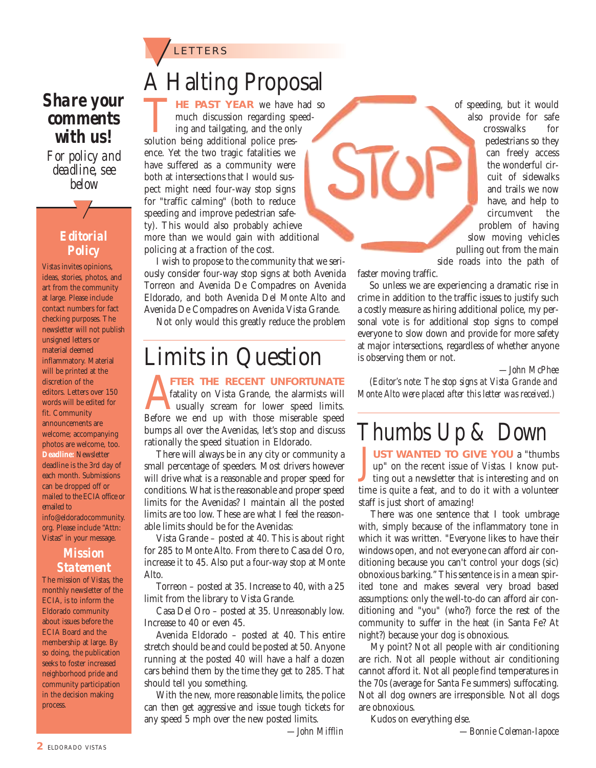#### **LETTERS**

#### *Share your comments with us!*

*For policy and deadline, see below*

#### *Editorial Policy*

<u>ー</u>ノ

*Vistas* invites opinions, ideas, stories, photos, and art from the community at large. Please include contact numbers for fact checking purposes. The newsletter will not publish unsigned letters or material deemed inflammatory. Material will be printed at the discretion of the editors. Letters over 150 words will be edited for fit. Community announcements are welcome; accompanying photos are welcome, too. **Deadline:** Newsletter deadline is the 3rd day of each month. Submissions can be dropped off or mailed to the ECIA office or emailed to info@eldoradocommunity. org. Please include "Attn: Vistas" in your message.

#### *Mission Statement*

The mission of *Vistas*, the monthly newsletter of the ECIA, is to inform the Eldorado community about issues before the ECIA Board and the membership at large. By so doing, the publication seeks to foster increased neighborhood pride and community participation in the decision making process.

### A Halting Proposal

THE PAST YEAR we have had so<br>much discussion regarding speed-<br>ing and tailgating, and the only<br>solution being additional police presmuch discussion regarding speeding and tailgating, and the only ence. Yet the two tragic fatalities we have suffered as a community were both at intersections that I would suspect might need four-way stop signs for "traffic calming" (both to reduce speeding and improve pedestrian safety). This would also probably achieve more than we would gain with additional policing at a fraction of the cost.

I wish to propose to the community that we seriously consider four-way stop signs at both Avenida Torreon and Avenida De Compadres on Avenida Eldorado, and both Avenida Del Monte Alto and Avenida De Compadres on Avenida Vista Grande.

Not only would this greatly reduce the problem

### Limits in Question

**AFTER THE RECENT UNFORTUNATE**<br> **A** fatality on Vista Grande, the alarmists will<br>
Before we end up with those miserable speed fatality on Vista Grande, the alarmists will usually scream for lower speed limits. bumps all over the Avenidas, let's stop and discuss rationally the speed situation in Eldorado.

There will always be in any city or community a small percentage of speeders. Most drivers however will drive what is a reasonable and proper speed for conditions. What is the reasonable and proper speed limits for the Avenidas? I maintain all the posted limits are too low. These are what I feel the reasonable limits should be for the Avenidas:

Vista Grande – posted at 40. This is about right for 285 to Monte Alto. From there to Casa del Oro, increase it to 45. Also put a four-way stop at Monte Alto.

Torreon – posted at 35. Increase to 40, with a 25 limit from the library to Vista Grande.

Casa Del Oro – posted at 35. Unreasonably low. Increase to 40 or even 45.

Avenida Eldorado – posted at 40. This entire stretch should be and could be posted at 50. Anyone running at the posted 40 will have a half a dozen cars behind them by the time they get to 285. That should tell you something.

With the new, more reasonable limits, the police can then get aggressive and issue tough tickets for any speed 5 mph over the new posted limits.

of speeding, but it would also provide for safe crosswalks for pedestrians so they can freely access the wonderful circuit of sidewalks and trails we now have, and help to circumvent the problem of having slow moving vehicles pulling out from the main side roads into the path of

faster moving traffic.

 $SLO$ 

So unless we are experiencing a dramatic rise in crime in addition to the traffic issues to justify such a costly measure as hiring additional police, my personal vote is for additional stop signs to compel everyone to slow down and provide for more safety at major intersections, regardless of whether anyone is observing them or not.

*—John McPhee*

*(Editor's note: The stop signs at Vista Grande and Monte Alto were placed after this letter was received.)*

### *Thumbs Up & Down*

J **UST WANTED TO GIVE YOU** a "thumbs up" on the recent issue of *Vistas*. I know putting out a newsletter that is interesting and on time is quite a feat, and to do it with a volunteer staff is just short of amazing!

There was one sentence that I took umbrage with, simply because of the inflammatory tone in which it was written. "Everyone likes to have their windows open, and not everyone can afford air conditioning because you can't control your dogs (sic) obnoxious barking." This sentence is in a mean spirited tone and makes several very broad based assumptions: only the well-to-do can afford air conditioning and "you" (who?) force the rest of the community to suffer in the heat (in Santa Fe? At night?) because your dog is obnoxious.

My point? Not all people with air conditioning are rich. Not all people without air conditioning cannot afford it. Not all people find temperatures in the 70s (average for Santa Fe summers) suffocating. Not all dog owners are irresponsible. Not all dogs are obnoxious.

Kudos on everything else.

*—John Mifflin*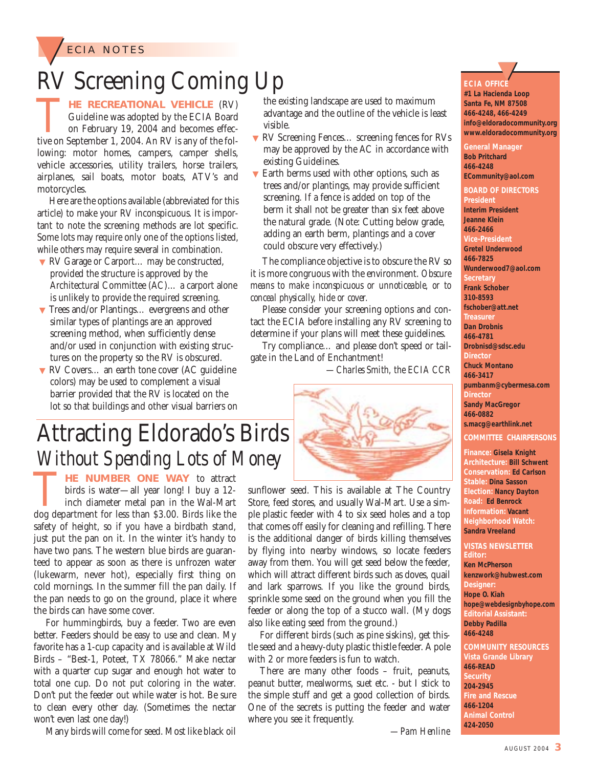

### RV Screening Coming Up

**THE RECREATIONAL VEHICLE** (RV)<br>
Guideline was adopted by the ECIA Board<br>
on February 19, 2004 and becomes effec-<br>
tive on September 1, 2004. An RV is any of the fol-Guideline was adopted by the ECIA Board on February 19, 2004 and becomes effeclowing: motor homes, campers, camper shells, vehicle accessories, utility trailers, horse trailers, airplanes, sail boats, motor boats, ATV's and motorcycles.

Here are the options available (abbreviated for this article) to make your RV inconspicuous. It is important to note the screening methods are lot specific. Some lots may require only one of the options listed, while others may require several in combination.

- ▼ RV Garage or Carport… may be constructed, provided the structure is approved by the Architectural Committee (AC)… a carport alone is unlikely to provide the required screening.
- ▼ Trees and/or Plantings… evergreens and other similar types of plantings are an approved screening method, when sufficiently dense and/or used in conjunction with existing structures on the property so the RV is obscured.
- ▼ RV Covers... an earth tone cover (AC guideline colors) may be used to complement a visual barrier provided that the RV is located on the lot so that buildings and other visual barriers on

### Attracting Eldorado's Birds *Without Spending Lots of Money*

**THE NUMBER ONE WAY** to attract birds is water—all year long! I buy a 12-<br>inch diameter metal pan in the Wal-Mart<br>dog department for less than \$3.00. Birds like the birds is water—all year long! I buy a 12 inch diameter metal pan in the Wal-Mart safety of height, so if you have a birdbath stand, just put the pan on it. In the winter it's handy to have two pans. The western blue birds are guaranteed to appear as soon as there is unfrozen water (lukewarm, never hot), especially first thing on cold mornings. In the summer fill the pan daily. If the pan needs to go on the ground, place it where the birds can have some cover.

For hummingbirds, buy a feeder. Two are even better. Feeders should be easy to use and clean. My favorite has a 1-cup capacity and is available at Wild Birds – "Best-1, Poteet, TX 78066." Make nectar with a quarter cup sugar and enough hot water to total one cup. Do not put coloring in the water. Don't put the feeder out while water is hot. Be sure to clean every other day. (Sometimes the nectar won't even last one day!)

Many birds will come for seed. Most like black oil

the existing landscape are used to maximum advantage and the outline of the vehicle is least visible.

- ▼ RV Screening Fences… screening fences for RVs may be approved by the AC in accordance with existing Guidelines.
- $\blacktriangledown$  Earth berms used with other options, such as trees and/or plantings, may provide sufficient screening. If a fence is added on top of the berm it shall not be greater than six feet above the natural grade. (Note: Cutting below grade, adding an earth berm, plantings and a cover could obscure very effectively.)

The compliance objective is to obscure the RV so it is more congruous with the environment. *Obscure means to make inconspicuous or unnoticeable, or to conceal physically, hide or cover.* 

Please consider your screening options and contact the ECIA before installing any RV screening to determine if your plans will meet these guidelines.

Try compliance… and please don't speed or tailgate in the Land of Enchantment!

*—Charles Smith, the ECIA CCR*



sunflower seed. This is available at The Country Store, feed stores, and usually Wal-Mart. Use a simple plastic feeder with 4 to six seed holes and a top that comes off easily for cleaning and refilling. There is the additional danger of birds killing themselves by flying into nearby windows, so locate feeders away from them. You will get seed below the feeder, which will attract different birds such as doves, quail and lark sparrows. If you like the ground birds, sprinkle some seed on the ground when you fill the feeder or along the top of a stucco wall. (My dogs also like eating seed from the ground.)

For different birds (such as pine siskins), get thistle seed and a heavy-duty plastic thistle feeder. A pole with 2 or more feeders is fun to watch.

There are many other foods – fruit, peanuts, peanut butter, mealworms, suet etc. - but I stick to the simple stuff and get a good collection of birds. One of the secrets is putting the feeder and water where you see it frequently.

*—Pam Henline*

**ECIA OFFICE**  <u>ー</u>ノ

**#1 La Hacienda Loop Santa Fe, NM 87508 466-4248, 466-4249 info@eldoradocommunity.org www.eldoradocommunity.org**

**General Manager Bob Pritchard 466-4248 ECommunity@aol.com** 

**BOARD OF DIRECTORS President Interim President Jeanne Klein 466-2466 Vice-President Gretel Underwood 466-7825 Wunderwood7@aol.com Secretary Frank Schober 310-8593 fschober@att.net Treasure Dan Drobnis 466-4781 Drobnisd@sdsc.edu Director Chuck Montano 466-3417 pumbanm@cybermesa.com Director Sandy MacGregor 466-0882 s.macg@earthlink.net COMMITTEE CHAIRPERSONS**

**Finance: Gisela Knight Architecture: Bill Schwent Conservation: Ed Carlson Stable: Dina Sasson Election: Nancy Dayton Road: Ed Benrock Information: Vacant Neighborhood Watch: Sandra Vreeland**

#### **VISTAS NEWSLETTER Editor: Ken McPherson**

**kenzwork@hubwest.com Designer: Hope O. Kiah hope@webdesignbyhope.com Editorial Assistant: Debby Padilla 466-4248**

**COMMUNITY RESOURCES Vista Grande Library 466-READ Security 204-2945 Fire and Rescue 466-1204 Animal Control 424-2050**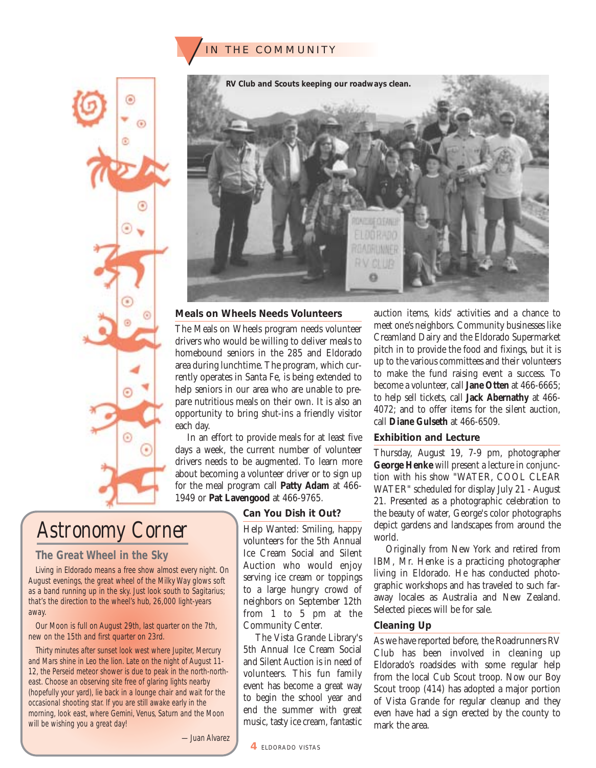### IN THE COMMUNITY





#### **Meals on Wheels Needs Volunteers**

The Meals on Wheels program needs volunteer drivers who would be willing to deliver meals to homebound seniors in the 285 and Eldorado area during lunchtime. The program, which currently operates in Santa Fe, is being extended to help seniors in our area who are unable to prepare nutritious meals on their own. It is also an opportunity to bring shut-ins a friendly visitor each day.

In an effort to provide meals for at least five days a week, the current number of volunteer drivers needs to be augmented. To learn more about becoming a volunteer driver or to sign up for the meal program call **Patty Adam** at 466- 1949 or **Pat Lavengood** at 466-9765.

#### **Can You Dish it Out?**

*Astronomy Corner*

#### **The Great Wheel in the Sky**

Living in Eldorado means a free show almost every night. On August evenings, the great wheel of the Milky Way glows soft as a band running up in the sky. Just look south to Sagitarius; that's the direction to the wheel's hub, 26,000 light-years away.

Our Moon is full on August 29th, last quarter on the 7th, new on the 15th and first quarter on 23rd.

Thirty minutes after sunset look west where Jupiter, Mercury and Mars shine in Leo the lion. Late on the night of August 11- 12, the Perseid meteor shower is due to peak in the north-northeast. Choose an observing site free of glaring lights nearby (hopefully your yard), lie back in a lounge chair and wait for the occasional shooting star. If you are still awake early in the morning, look east, where Gemini, Venus, Saturn and the Moon will be wishing you a great day!

Help Wanted: Smiling, happy volunteers for the 5th Annual Ice Cream Social and Silent Auction who would enjoy serving ice cream or toppings to a large hungry crowd of neighbors on September 12th from 1 to 5 pm at the Community Center.

The Vista Grande Library's 5th Annual Ice Cream Social and Silent Auction is in need of volunteers. This fun family event has become a great way to begin the school year and end the summer with great music, tasty ice cream, fantastic auction items, kids' activities and a chance to meet one's neighbors. Community businesses like Creamland Dairy and the Eldorado Supermarket pitch in to provide the food and fixings, but it is up to the various committees and their volunteers to make the fund raising event a success. To become a volunteer, call **Jane Otten** at 466-6665; to help sell tickets, call **Jack Abernathy** at 466- 4072; and to offer items for the silent auction, call **Diane Gulseth** at 466-6509.

#### **Exhibition and Lecture**

Thursday, August 19, 7-9 pm, photographer **George Henke** will present a lecture in conjunction with his show "WATER, COOL CLEAR WATER" scheduled for display July 21 - August 21. Presented as a photographic celebration to the beauty of water, George's color photographs depict gardens and landscapes from around the world.

Originally from New York and retired from IBM, Mr. Henke is a practicing photographer living in Eldorado. He has conducted photographic workshops and has traveled to such faraway locales as Australia and New Zealand. Selected pieces will be for sale.

#### **Cleaning Up**

As we have reported before, the Roadrunners RV Club has been involved in cleaning up Eldorado's roadsides with some regular help from the local Cub Scout troop. Now our Boy Scout troop (414) has adopted a major portion of Vista Grande for regular cleanup and they even have had a sign erected by the county to mark the area.

—Juan Alvarez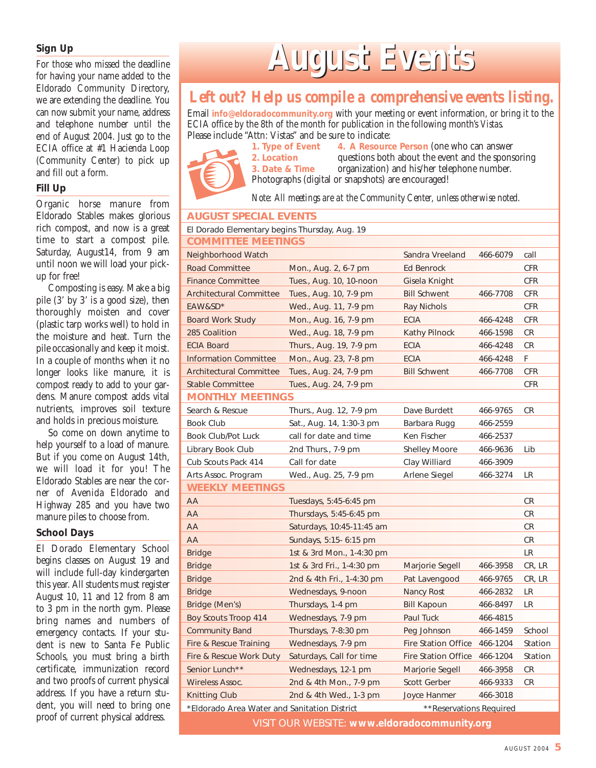#### **Sign Up**

For those who missed the deadline for having your name added to the Eldorado Community Directory, we are extending the deadline. You can now submit your name, address and telephone number until the end of August 2004. Just go to the ECIA office at #1 Hacienda Loop (Community Center) to pick up and fill out a form.

#### **Fill Up**

Organic horse manure from Eldorado Stables makes glorious rich compost, and now is a great time to start a compost pile. Saturday, August14, from 9 am until noon we will load your pickup for free!

Composting is easy. Make a big pile (3' by 3' is a good size), then thoroughly moisten and cover (plastic tarp works well) to hold in the moisture and heat. Turn the pile occasionally and keep it moist. In a couple of months when it no longer looks like manure, it is compost ready to add to your gardens. Manure compost adds vital nutrients, improves soil texture and holds in precious moisture.

So come on down anytime to help yourself to a load of manure. But if you come on August 14th, we will load it for you! The Eldorado Stables are near the corner of Avenida Eldorado and Highway 285 and you have two manure piles to choose from.

#### **School Days**

El Dorado Elementary School begins classes on August 19 and will include full-day kindergarten this year. All students must register August 10, 11 and 12 from 8 am to 3 pm in the north gym. Please bring names and numbers of emergency contacts. If your student is new to Santa Fe Public Schools, you must bring a birth certificate, immunization record and two proofs of current physical address. If you have a return student, you will need to bring one proof of current physical address.

# **August Events ugust Events**

#### *Left out? Help us compile a comprehensive events listing.*

Email **info@eldoradocommunity.org** with your meeting or event information, or bring it to the ECIA office by the 8th of the month for publication in the following month's *Vistas.* Please include "Attn: Vistas" and be sure to indicate:<br>1. Type of Event 4. A Resource



**4. A Resource Person (one who can answer) 2. Location** questions both about the event and the sponsoring 3. Date & Time organization) and his/her telephone number. organization) and his/her telephone number. Photographs (digital or snapshots) are encouraged!

*Note: All meetings are at the Community Center, unless otherwise noted.*

| <b>AUGUST SPECIAL EVENTS</b>                                            |                           |                            |          |            |  |
|-------------------------------------------------------------------------|---------------------------|----------------------------|----------|------------|--|
| El Dorado Elementary begins Thursday, Aug. 19                           |                           |                            |          |            |  |
| <b>COMMITTEE MEETINGS</b>                                               |                           |                            |          |            |  |
| Neighborhood Watch                                                      |                           | Sandra Vreeland            | 466-6079 | call       |  |
| <b>Road Committee</b>                                                   | Mon., Aug. 2, 6-7 pm      | Ed Benrock                 |          | <b>CFR</b> |  |
| <b>Finance Committee</b>                                                | Tues., Aug. 10, 10-noon   | Gisela Knight              |          | <b>CFR</b> |  |
| <b>Architectural Committee</b>                                          | Tues., Aug. 10, 7-9 pm    | <b>Bill Schwent</b>        | 466-7708 | <b>CFR</b> |  |
| EAW&SD*                                                                 | Wed., Aug. 11, 7-9 pm     | Ray Nichols                |          | <b>CFR</b> |  |
| <b>Board Work Study</b>                                                 | Mon., Aug. 16, 7-9 pm     | <b>ECIA</b>                | 466-4248 | <b>CFR</b> |  |
| 285 Coalition                                                           | Wed., Aug. 18, 7-9 pm     | Kathy Pilnock              | 466-1598 | <b>CR</b>  |  |
| <b>ECIA Board</b>                                                       | Thurs., Aug. 19, 7-9 pm   | <b>ECIA</b>                | 466-4248 | CR         |  |
| <b>Information Committee</b>                                            | Mon., Aug. 23, 7-8 pm     | <b>ECIA</b>                | 466-4248 | F.         |  |
| <b>Architectural Committee</b>                                          | Tues., Aug. 24, 7-9 pm    | <b>Bill Schwent</b>        | 466-7708 | <b>CFR</b> |  |
| <b>Stable Committee</b>                                                 | Tues., Aug. 24, 7-9 pm    |                            |          | <b>CFR</b> |  |
| <b>MONTHLY MEETINGS</b>                                                 |                           |                            |          |            |  |
| Search & Rescue                                                         | Thurs., Aug. 12, 7-9 pm   | Dave Burdett               | 466-9765 | <b>CR</b>  |  |
| <b>Book Club</b>                                                        | Sat., Aug. 14, 1:30-3 pm  | Barbara Rugg               | 466-2559 |            |  |
| Book Club/Pot Luck                                                      | call for date and time    | Ken Fischer                | 466-2537 |            |  |
| Library Book Club                                                       | 2nd Thurs., 7-9 pm        | <b>Shelley Moore</b>       | 466-9636 | Lib        |  |
| Cub Scouts Pack 414                                                     | Call for date             | Clay Williard              | 466-3909 |            |  |
| Arts Assoc. Program                                                     | Wed., Aug. 25, 7-9 pm     | Arlene Siegel              | 466-3274 | LR         |  |
| <b>WEEKLY MEETINGS</b>                                                  |                           |                            |          |            |  |
| AA                                                                      | Tuesdays, 5:45-6:45 pm    |                            |          | <b>CR</b>  |  |
| AA                                                                      | Thursdays, 5:45-6:45 pm   |                            |          | <b>CR</b>  |  |
| AA                                                                      | Saturdays, 10:45-11:45 am |                            |          | <b>CR</b>  |  |
| AA                                                                      | Sundays, 5:15- 6:15 pm    |                            |          | <b>CR</b>  |  |
| <b>Bridge</b>                                                           | 1st & 3rd Mon., 1-4:30 pm |                            |          | LR         |  |
| <b>Bridge</b>                                                           | 1st & 3rd Fri., 1-4:30 pm | Marjorie Segell            | 466-3958 | CR, LR     |  |
| <b>Bridge</b>                                                           | 2nd & 4th Fri., 1-4:30 pm | Pat Lavengood              | 466-9765 | CR, LR     |  |
| <b>Bridge</b>                                                           | Wednesdays, 9-noon        | Nancy Rost                 | 466-2832 | <b>LR</b>  |  |
| Bridge (Men's)                                                          | Thursdays, 1-4 pm         | <b>Bill Kapoun</b>         | 466-8497 | <b>LR</b>  |  |
| <b>Boy Scouts Troop 414</b>                                             | Wednesdays, 7-9 pm        | Paul Tuck                  | 466-4815 |            |  |
| <b>Community Band</b>                                                   | Thursdays, 7-8:30 pm      | Peg Johnson                | 466-1459 | School     |  |
| Fire & Rescue Training                                                  | Wednesdays, 7-9 pm        | Fire Station Office        | 466-1204 | Station    |  |
| Fire & Rescue Work Duty                                                 | Saturdays, Call for time  | <b>Fire Station Office</b> | 466-1204 | Station    |  |
| Senior Lunch**                                                          | Wednesdays, 12-1 pm       | Marjorie Segell            | 466-3958 | CR         |  |
| <b>Wireless Assoc.</b>                                                  | 2nd & 4th Mon., 7-9 pm    | Scott Gerber               | 466-9333 | CR         |  |
| Knitting Club                                                           | 2nd & 4th Wed., 1-3 pm    | Joyce Hanmer               | 466-3018 |            |  |
| **Reservations Required<br>*Eldorado Area Water and Sanitation District |                           |                            |          |            |  |
| VISIT OUR WEBSITE: www.eldoradocommunity.org                            |                           |                            |          |            |  |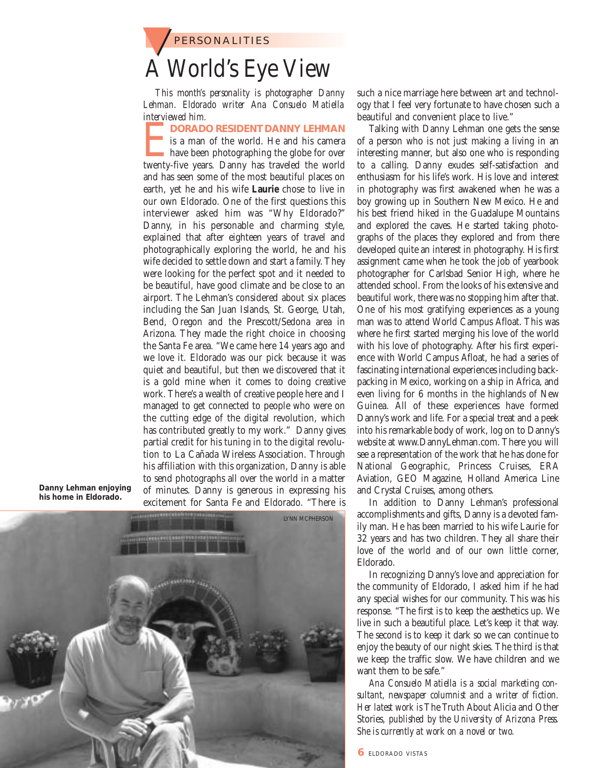**PERSONALITIES** A World's Eye View

*This month's personality is photographer Danny Lehman. Eldorado writer Ana Consuelo Matiella interviewed him.* 

**EXPORADO RESIDENT DANNY LEHMAN**<br>
is a man of the world. He and his camera<br>
have been photographing the globe for over<br>
twenty-five years. Danny has traveled the world is a man of the world. He and his camera have been photographing the globe for over and has seen some of the most beautiful places on earth, yet he and his wife **Laurie** chose to live in our own Eldorado. One of the first questions this interviewer asked him was "Why Eldorado?" Danny, in his personable and charming style, explained that after eighteen years of travel and photographically exploring the world, he and his wife decided to settle down and start a family. They were looking for the perfect spot and it needed to be beautiful, have good climate and be close to an airport. The Lehman's considered about six places including the San Juan Islands, St. George, Utah, Bend, Oregon and the Prescott/Sedona area in Arizona. They made the right choice in choosing the Santa Fe area. "We came here 14 years ago and we love it. Eldorado was our pick because it was quiet and beautiful, but then we discovered that it is a gold mine when it comes to doing creative work. There's a wealth of creative people here and I managed to get connected to people who were on the cutting edge of the digital revolution, which has contributed greatly to my work." Danny gives partial credit for his tuning in to the digital revolution to La Cañada Wireless Association. Through his affiliation with this organization, Danny is able to send photographs all over the world in a matter of minutes. Danny is generous in expressing his excitement for Santa Fe and Eldorado. "There is

**Danny Lehman enjoying his home in Eldorado.**



such a nice marriage here between art and technology that I feel very fortunate to have chosen such a beautiful and convenient place to live."

Talking with Danny Lehman one gets the sense of a person who is not just making a living in an interesting manner, but also one who is responding to a calling. Danny exudes self-satisfaction and enthusiasm for his life's work. His love and interest in photography was first awakened when he was a boy growing up in Southern New Mexico. He and his best friend hiked in the Guadalupe Mountains and explored the caves. He started taking photographs of the places they explored and from there developed quite an interest in photography. His first assignment came when he took the job of yearbook photographer for Carlsbad Senior High, where he attended school. From the looks of his extensive and beautiful work, there was no stopping him after that. One of his most gratifying experiences as a young man was to attend World Campus Afloat. This was where he first started merging his love of the world with his love of photography. After his first experience with World Campus Afloat, he had a series of fascinating international experiences including backpacking in Mexico, working on a ship in Africa, and even living for 6 months in the highlands of New Guinea. All of these experiences have formed Danny's work and life. For a special treat and a peek into his remarkable body of work, log on to Danny's website at www.DannyLehman.com. There you will see a representation of the work that he has done for National Geographic, Princess Cruises, ERA Aviation, GEO Magazine, Holland America Line and Crystal Cruises, among others.

In addition to Danny Lehman's professional accomplishments and gifts, Danny is a devoted family man. He has been married to his wife Laurie for 32 years and has two children. They all share their love of the world and of our own little corner, Eldorado.

In recognizing Danny's love and appreciation for the community of Eldorado, I asked him if he had any special wishes for our community. This was his response. "The first is to keep the aesthetics up. We live in such a beautiful place. Let's keep it that way. The second is to keep it dark so we can continue to enjoy the beauty of our night skies. The third is that we keep the traffic slow. We have children and we want them to be safe."

*Ana Consuelo Matiella is a social marketing consultant, newspaper columnist and a writer of fiction. Her latest work is* The Truth About Alicia and Other Stories*, published by the University of Arizona Press. She is currently at work on a novel or two.*

**6** ELDORADO VISTAS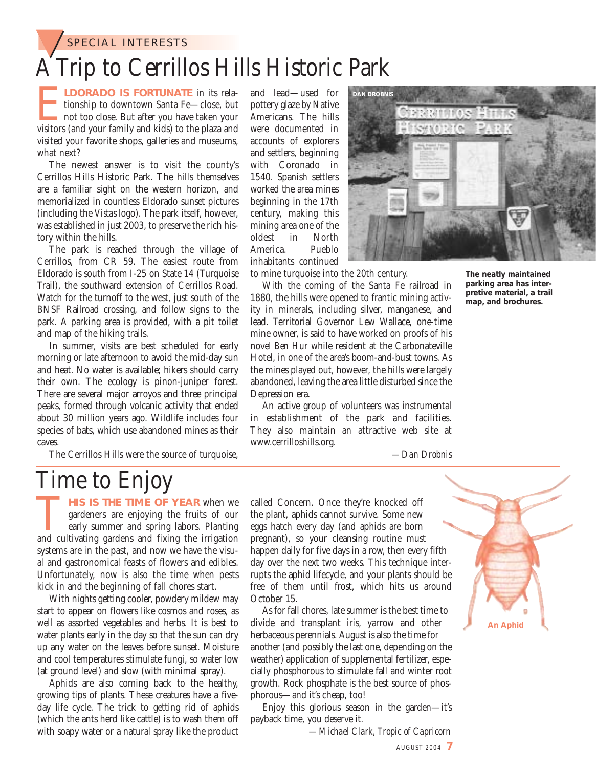SPECIAL INTERESTS

### A Trip to Cerrillos Hills Historic Park

**ELDORADO IS FORTUNATE** in its rela-<br>tionship to downtown Santa Fe—close, but<br>not too close. But after you have taken your<br>visitors (and your family and kids) to the plaza and tionship to downtown Santa Fe—close, but not too close. But after you have taken your visited your favorite shops, galleries and museums, what next?

The newest answer is to visit the county's Cerrillos Hills Historic Park. The hills themselves are a familiar sight on the western horizon, and memorialized in countless Eldorado sunset pictures (including the *Vistas* logo). The park itself, however, was established in just 2003, to preserve the rich history within the hills.

The park is reached through the village of Cerrillos, from CR 59. The easiest route from Eldorado is south from I-25 on State 14 (Turquoise Trail), the southward extension of Cerrillos Road. Watch for the turnoff to the west, just south of the BNSF Railroad crossing, and follow signs to the park. A parking area is provided, with a pit toilet and map of the hiking trails.

In summer, visits are best scheduled for early morning or late afternoon to avoid the mid-day sun and heat. No water is available; hikers should carry their own. The ecology is pinon-juniper forest. There are several major arroyos and three principal peaks, formed through volcanic activity that ended about 30 million years ago. Wildlife includes four species of bats, which use abandoned mines as their caves.

The Cerrillos Hills were the source of turquoise,

and lead—used for pottery glaze by Native Americans. The hills were documented in accounts of explorers and settlers, beginning with Coronado in 1540. Spanish settlers worked the area mines beginning in the 17th century, making this mining area one of the oldest in North America. Pueblo inhabitants continued

to mine turquoise into the 20th century.

With the coming of the Santa Fe railroad in 1880, the hills were opened to frantic mining activity in minerals, including silver, manganese, and lead. Territorial Governor Lew Wallace, one-time mine owner, is said to have worked on proofs of his novel *Ben Hur* while resident at the Carbonateville Hotel, in one of the area's boom-and-bust towns. As the mines played out, however, the hills were largely abandoned, leaving the area little disturbed since the Depression era.

An active group of volunteers was instrumental in establishment of the park and facilities. They also maintain an attractive web site at www.cerrilloshills.org.

*—Dan Drobnis*

### Time to Enjoy

**THIS IS THE TIME OF YEAR** when we gardeners are enjoying the fruits of our early summer and spring labors. Planting and cultivating gardens and fixing the irrigation gardeners are enjoying the fruits of our early summer and spring labors. Planting systems are in the past, and now we have the visual and gastronomical feasts of flowers and edibles. Unfortunately, now is also the time when pests kick in and the beginning of fall chores start.

With nights getting cooler, powdery mildew may start to appear on flowers like cosmos and roses, as well as assorted vegetables and herbs. It is best to water plants early in the day so that the sun can dry up any water on the leaves before sunset. Moisture and cool temperatures stimulate fungi, so water low (at ground level) and slow (with minimal spray).

Aphids are also coming back to the healthy, growing tips of plants. These creatures have a fiveday life cycle. The trick to getting rid of aphids (which the ants herd like cattle) is to wash them off with soapy water or a natural spray like the product called Concern. Once they're knocked off the plant, aphids cannot survive. Some new eggs hatch every day (and aphids are born pregnant), so your cleansing routine must happen daily for five days in a row, then every fifth day over the next two weeks. This technique interrupts the aphid lifecycle, and your plants should be free of them until frost, which hits us around October 15.

As for fall chores, late summer is the best time to divide and transplant iris, yarrow and other herbaceous perennials. August is also the time for another (and possibly the last one, depending on the weather) application of supplemental fertilizer, especially phosphorous to stimulate fall and winter root growth. Rock phosphate is the best source of phosphorous—and it's cheap, too!

Enjoy this glorious season in the garden—it's payback time, you deserve it.

*—Michael Clark, Tropic of Capricorn*

**The neatly maintained parking area has interpretive material, a trail**

**map, and brochures.**